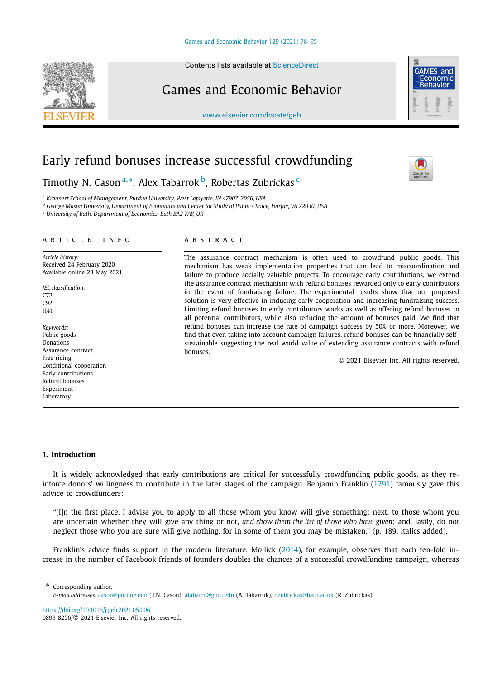Contents lists available at ScienceDirect

# Games and Economic Behavior

www.elsevier.com/locate/geb

# Early refund bonuses increase successful crowdfunding

Timothy N. Cason <sup>a,</sup>\*, Alex Tabarrok <sup>b</sup>, Robertas Zubrickas <sup>c</sup>

<sup>a</sup> *Krannert School of Management, Purdue University, West Lafayette, IN 47907-2056, USA*

<sup>b</sup> George Mason University, Department of Economics and Center for Study of Public Choice, Fairfax, VA 22030, USA

<sup>c</sup> *University of Bath, Department of Economics, Bath BA2 7AY, UK*

# A R T I C L E I N F O A B S T R A C T

*Article history:* Received 24 February 2020 Available online 28 May 2021

- *JEL classification:* C72 C92 H41
- *Keywords:* Public goods Donations Assurance contract Free riding Conditional cooperation Early contributions Refund bonuses Experiment Laboratory

The assurance contract mechanism is often used to crowdfund public goods. This mechanism has weak implementation properties that can lead to miscoordination and failure to produce socially valuable projects. To encourage early contributions, we extend the assurance contract mechanism with refund bonuses rewarded only to early contributors in the event of fundraising failure. The experimental results show that our proposed solution is very effective in inducing early cooperation and increasing fundraising success. Limiting refund bonuses to early contributors works as well as offering refund bonuses to all potential contributors, while also reducing the amount of bonuses paid. We find that refund bonuses can increase the rate of campaign success by 50% or more. Moreover, we find that even taking into account campaign failures, refund bonuses can be financially selfsustainable suggesting the real world value of extending assurance contracts with refund bonuses.

2021 Elsevier Inc. All rights reserved.

# **1. Introduction**

It is widely acknowledged that early contributions are critical for successfully crowdfunding public goods, as they reinforce donors' willingness to contribute in the later stages of the campaign. Benjamin Franklin (1791) famously gave this advice to crowdfunders:

"[I]n the first place, I advise you to apply to all those whom you know will give something; next, to those whom you are uncertain whether they will give any thing or not, *and show them the list of those who have given*; and, lastly, do not neglect those who you are sure will give nothing, for in some of them you may be mistaken." (p. 189, italics added).

Franklin's advice finds support in the modern literature. Mollick (2014), for example, observes that each ten-fold increase in the number of Facebook friends of founders doubles the chances of a successful crowdfunding campaign, whereas

\* Corresponding author.

https://doi.org/10.1016/j.geb.2021.05.006 0899-8256/© 2021 Elsevier Inc. All rights reserved.





*E-mail addresses:* cason@purdue.edu (T.N. Cason), atabarro@gmu.edu (A. Tabarrok), r.zubrickas@bath.ac.uk (R. Zubrickas).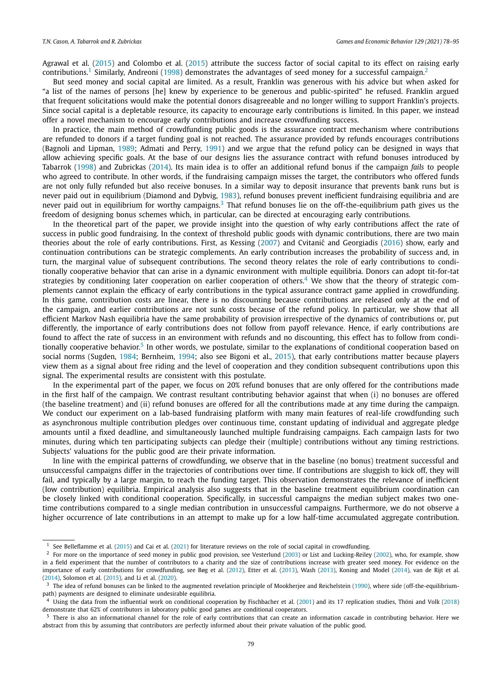Agrawal et al. (2015) and Colombo et al. (2015) attribute the success factor of social capital to its effect on raising early contributions.<sup>1</sup> Similarly, Andreoni (1998) demonstrates the advantages of seed money for a successful campaign.<sup>2</sup>

But seed money and social capital are limited. As a result, Franklin was generous with his advice but when asked for "a list of the names of persons [he] knew by experience to be generous and public-spirited" he refused. Franklin argued that frequent solicitations would make the potential donors disagreeable and no longer willing to support Franklin's projects. Since social capital is a depletable resource, its capacity to encourage early contributions is limited. In this paper, we instead offer a novel mechanism to encourage early contributions and increase crowdfunding success.

In practice, the main method of crowdfunding public goods is the assurance contract mechanism where contributions are refunded to donors if a target funding goal is not reached. The assurance provided by refunds encourages contributions (Bagnoli and Lipman, 1989; Admati and Perry, 1991) and we argue that the refund policy can be designed in ways that allow achieving specific goals. At the base of our designs lies the assurance contract with refund bonuses introduced by Tabarrok (1998) and Zubrickas (2014). Its main idea is to offer an additional refund bonus if the campaign *fails* to people who agreed to contribute. In other words, if the fundraising campaign misses the target, the contributors who offered funds are not only fully refunded but also receive bonuses. In a similar way to deposit insurance that prevents bank runs but is never paid out in equilibrium (Diamond and Dybvig, 1983), refund bonuses prevent inefficient fundraising equilibria and are never paid out in equilibrium for worthy campaigns.<sup>3</sup> That refund bonuses lie on the off-the-equilibrium path gives us the freedom of designing bonus schemes which, in particular, can be directed at encouraging early contributions.

In the theoretical part of the paper, we provide insight into the question of why early contributions affect the rate of success in public good fundraising. In the context of threshold public goods with dynamic contributions, there are two main theories about the role of early contributions. First, as Kessing (2007) and Cvitanić and Georgiadis (2016) show, early and continuation contributions can be strategic complements. An early contribution increases the probability of success and, in turn, the marginal value of subsequent contributions. The second theory relates the role of early contributions to conditionally cooperative behavior that can arise in a dynamic environment with multiple equilibria. Donors can adopt tit-for-tat strategies by conditioning later cooperation on earlier cooperation of others.<sup>4</sup> We show that the theory of strategic complements cannot explain the efficacy of early contributions in the typical assurance contract game applied in crowdfunding. In this game, contribution costs are linear, there is no discounting because contributions are released only at the end of the campaign, and earlier contributions are not sunk costs because of the refund policy. In particular, we show that all efficient Markov Nash equilibria have the same probability of provision irrespective of the dynamics of contributions or, put differently, the importance of early contributions does not follow from payoff relevance. Hence, if early contributions are found to affect the rate of success in an environment with refunds and no discounting, this effect has to follow from conditionally cooperative behavior.<sup>5</sup> In other words, we postulate, similar to the explanations of conditional cooperation based on social norms (Sugden, 1984; Bernheim, 1994; also see Bigoni et al., 2015), that early contributions matter because players view them as a signal about free riding and the level of cooperation and they condition subsequent contributions upon this signal. The experimental results are consistent with this postulate.

In the experimental part of the paper, we focus on 20% refund bonuses that are only offered for the contributions made in the first half of the campaign. We contrast resultant contributing behavior against that when (i) no bonuses are offered (the baseline treatment) and (ii) refund bonuses are offered for all the contributions made at any time during the campaign. We conduct our experiment on a lab-based fundraising platform with many main features of real-life crowdfunding such as asynchronous multiple contribution pledges over continuous time, constant updating of individual and aggregate pledge amounts until a fixed deadline, and simultaneously launched multiple fundraising campaigns. Each campaign lasts for two minutes, during which ten participating subjects can pledge their (multiple) contributions without any timing restrictions. Subjects' valuations for the public good are their private information.

In line with the empirical patterns of crowdfunding, we observe that in the baseline (no bonus) treatment successful and unsuccessful campaigns differ in the trajectories of contributions over time. If contributions are sluggish to kick off, they will fail, and typically by a large margin, to reach the funding target. This observation demonstrates the relevance of inefficient (low contribution) equilibria. Empirical analysis also suggests that in the baseline treatment equilibrium coordination can be closely linked with conditional cooperation. Specifically, in successful campaigns the median subject makes two onetime contributions compared to a single median contribution in unsuccessful campaigns. Furthermore, we do not observe a higher occurrence of late contributions in an attempt to make up for a low half-time accumulated aggregate contribution.

<sup>1</sup> See Belleflamme et al. (2015) and Cai et al. (2021) for literature reviews on the role of social capital in crowdfunding.

<sup>2</sup> For more on the importance of seed money in public good provision, see Vesterlund (2003) or List and Lucking-Reiley (2002), who, for example, show in a field experiment that the number of contributors to a charity and the size of contributions increase with greater seed money. For evidence on the importance of early contributions for crowdfunding, see Bøg et al. (2012), Etter et al. (2013), Wash (2013), Koning and Model (2014), van de Rijt et al. (2014), Solomon et al. (2015), and Li et al. (2020).

<sup>&</sup>lt;sup>3</sup> The idea of refund bonuses can be linked to the augmented revelation principle of Mookherjee and Reichelstein (1990), where side (off-the-equilibriumpath) payments are designed to eliminate undesirable equilibria.

 $^4$  Using the data from the influential work on conditional cooperation by Fischbacher et al. (2001) and its 17 replication studies, Thöni and Volk (2018) demonstrate that 62% of contributors in laboratory public good games are conditional cooperators.

<sup>5</sup> There is also an informational channel for the role of early contributions that can create an information cascade in contributing behavior. Here we abstract from this by assuming that contributors are perfectly informed about their private valuation of the public good.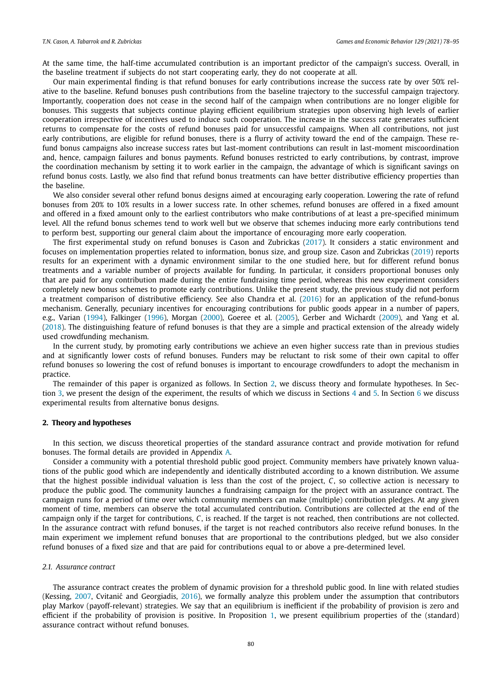At the same time, the half-time accumulated contribution is an important predictor of the campaign's success. Overall, in the baseline treatment if subjects do not start cooperating early, they do not cooperate at all.

Our main experimental finding is that refund bonuses for early contributions increase the success rate by over 50% relative to the baseline. Refund bonuses push contributions from the baseline trajectory to the successful campaign trajectory. Importantly, cooperation does not cease in the second half of the campaign when contributions are no longer eligible for bonuses. This suggests that subjects continue playing efficient equilibrium strategies upon observing high levels of earlier cooperation irrespective of incentives used to induce such cooperation. The increase in the success rate generates sufficient returns to compensate for the costs of refund bonuses paid for unsuccessful campaigns. When all contributions, not just early contributions, are eligible for refund bonuses, there is a flurry of activity toward the end of the campaign. These refund bonus campaigns also increase success rates but last-moment contributions can result in last-moment miscoordination and, hence, campaign failures and bonus payments. Refund bonuses restricted to early contributions, by contrast, improve the coordination mechanism by setting it to work earlier in the campaign, the advantage of which is significant savings on refund bonus costs. Lastly, we also find that refund bonus treatments can have better distributive efficiency properties than the baseline.

We also consider several other refund bonus designs aimed at encouraging early cooperation. Lowering the rate of refund bonuses from 20% to 10% results in a lower success rate. In other schemes, refund bonuses are offered in a fixed amount and offered in a fixed amount only to the earliest contributors who make contributions of at least a pre-specified minimum level. All the refund bonus schemes tend to work well but we observe that schemes inducing more early contributions tend to perform best, supporting our general claim about the importance of encouraging more early cooperation.

The first experimental study on refund bonuses is Cason and Zubrickas (2017). It considers a static environment and focuses on implementation properties related to information, bonus size, and group size. Cason and Zubrickas (2019) reports results for an experiment with a dynamic environment similar to the one studied here, but for different refund bonus treatments and a variable number of projects available for funding. In particular, it considers proportional bonuses only that are paid for any contribution made during the entire fundraising time period, whereas this new experiment considers completely new bonus schemes to promote early contributions. Unlike the present study, the previous study did not perform a treatment comparison of distributive efficiency. See also Chandra et al. (2016) for an application of the refund-bonus mechanism. Generally, pecuniary incentives for encouraging contributions for public goods appear in a number of papers, e.g., Varian (1994), Falkinger (1996), Morgan (2000), Goeree et al. (2005), Gerber and Wichardt (2009), and Yang et al. (2018). The distinguishing feature of refund bonuses is that they are a simple and practical extension of the already widely used crowdfunding mechanism.

In the current study, by promoting early contributions we achieve an even higher success rate than in previous studies and at significantly lower costs of refund bonuses. Funders may be reluctant to risk some of their own capital to offer refund bonuses so lowering the cost of refund bonuses is important to encourage crowdfunders to adopt the mechanism in practice.

The remainder of this paper is organized as follows. In Section 2, we discuss theory and formulate hypotheses. In Section 3, we present the design of the experiment, the results of which we discuss in Sections 4 and 5. In Section 6 we discuss experimental results from alternative bonus designs.

# **2. Theory and hypotheses**

In this section, we discuss theoretical properties of the standard assurance contract and provide motivation for refund bonuses. The formal details are provided in Appendix A.

Consider a community with a potential threshold public good project. Community members have privately known valuations of the public good which are independently and identically distributed according to a known distribution. We assume that the highest possible individual valuation is less than the cost of the project, *C*, so collective action is necessary to produce the public good. The community launches a fundraising campaign for the project with an assurance contract. The campaign runs for a period of time over which community members can make (multiple) contribution pledges. At any given moment of time, members can observe the total accumulated contribution. Contributions are collected at the end of the campaign only if the target for contributions, *C*, is reached. If the target is not reached, then contributions are not collected. In the assurance contract with refund bonuses, if the target is not reached contributors also receive refund bonuses. In the main experiment we implement refund bonuses that are proportional to the contributions pledged, but we also consider refund bonuses of a fixed size and that are paid for contributions equal to or above a pre-determined level.

# *2.1. Assurance contract*

The assurance contract creates the problem of dynamic provision for a threshold public good. In line with related studies (Kessing, 2007, Cvitanić and Georgiadis, 2016), we formally analyze this problem under the assumption that contributors play Markov (payoff-relevant) strategies. We say that an equilibrium is inefficient if the probability of provision is zero and efficient if the probability of provision is positive. In Proposition 1, we present equilibrium properties of the (standard) assurance contract without refund bonuses.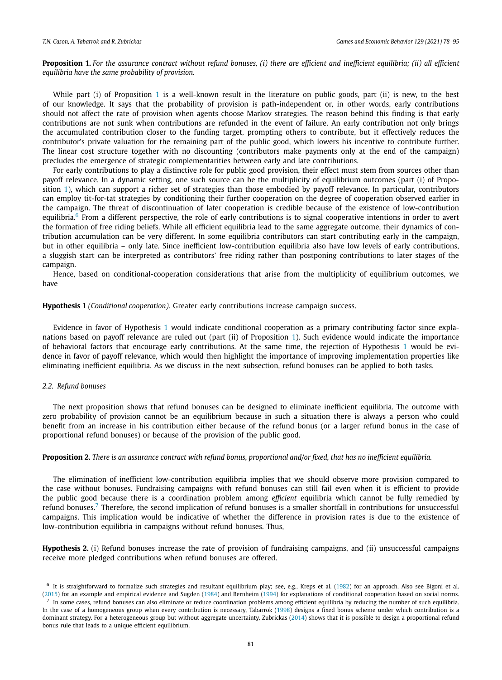Proposition 1. For the assurance contract without refund bonuses, (i) there are efficient and inefficient equilibria; (ii) all efficient *equilibria have the same probability of provision.*

While part (i) of Proposition  $1$  is a well-known result in the literature on public goods, part (ii) is new, to the best of our knowledge. It says that the probability of provision is path-independent or, in other words, early contributions should not affect the rate of provision when agents choose Markov strategies. The reason behind this finding is that early contributions are not sunk when contributions are refunded in the event of failure. An early contribution not only brings the accumulated contribution closer to the funding target, prompting others to contribute, but it effectively reduces the contributor's private valuation for the remaining part of the public good, which lowers his incentive to contribute further. The linear cost structure together with no discounting (contributors make payments only at the end of the campaign) precludes the emergence of strategic complementarities between early and late contributions.

For early contributions to play a distinctive role for public good provision, their effect must stem from sources other than payoff relevance. In a dynamic setting, one such source can be the multiplicity of equilibrium outcomes (part (i) of Proposition 1), which can support a richer set of strategies than those embodied by payoff relevance. In particular, contributors can employ tit-for-tat strategies by conditioning their further cooperation on the degree of cooperation observed earlier in the campaign. The threat of discontinuation of later cooperation is credible because of the existence of low-contribution equilibria.<sup>6</sup> From a different perspective, the role of early contributions is to signal cooperative intentions in order to avert the formation of free riding beliefs. While all efficient equilibria lead to the same aggregate outcome, their dynamics of contribution accumulation can be very different. In some equilibria contributors can start contributing early in the campaign, but in other equilibria – only late. Since inefficient low-contribution equilibria also have low levels of early contributions, a sluggish start can be interpreted as contributors' free riding rather than postponing contributions to later stages of the campaign.

Hence, based on conditional-cooperation considerations that arise from the multiplicity of equilibrium outcomes, we have

# **Hypothesis 1** *(Conditional cooperation).* Greater early contributions increase campaign success.

Evidence in favor of Hypothesis 1 would indicate conditional cooperation as a primary contributing factor since explanations based on payoff relevance are ruled out (part (ii) of Proposition 1). Such evidence would indicate the importance of behavioral factors that encourage early contributions. At the same time, the rejection of Hypothesis 1 would be evidence in favor of payoff relevance, which would then highlight the importance of improving implementation properties like eliminating inefficient equilibria. As we discuss in the next subsection, refund bonuses can be applied to both tasks.

# *2.2. Refund bonuses*

The next proposition shows that refund bonuses can be designed to eliminate inefficient equilibria. The outcome with zero probability of provision cannot be an equilibrium because in such a situation there is always a person who could benefit from an increase in his contribution either because of the refund bonus (or a larger refund bonus in the case of proportional refund bonuses) or because of the provision of the public good.

# Proposition 2. There is an assurance contract with refund bonus, proportional and/or fixed, that has no inefficient equilibria.

The elimination of inefficient low-contribution equilibria implies that we should observe more provision compared to the case without bonuses. Fundraising campaigns with refund bonuses can still fail even when it is efficient to provide the public good because there is a coordination problem among *efficient* equilibria which cannot be fully remedied by refund bonuses.<sup>7</sup> Therefore, the second implication of refund bonuses is a smaller shortfall in contributions for unsuccessful campaigns. This implication would be indicative of whether the difference in provision rates is due to the existence of low-contribution equilibria in campaigns without refund bonuses. Thus,

**Hypothesis 2.** (i) Refund bonuses increase the rate of provision of fundraising campaigns, and (ii) unsuccessful campaigns receive more pledged contributions when refund bonuses are offered.

<sup>6</sup> It is straightforward to formalize such strategies and resultant equilibrium play; see, e.g., Kreps et al. (1982) for an approach. Also see Bigoni et al. (2015) for an example and empirical evidence and Sugden (1984) and Bernheim (1994) for explanations of conditional cooperation based on social norms.

 $^7$  In some cases, refund bonuses can also eliminate or reduce coordination problems among efficient equilibria by reducing the number of such equilibria. In the case of a homogeneous group when every contribution is necessary, Tabarrok (1998) designs a fixed bonus scheme under which contribution is a dominant strategy. For a heterogeneous group but without aggregate uncertainty, Zubrickas (2014) shows that it is possible to design a proportional refund bonus rule that leads to a unique efficient equilibrium.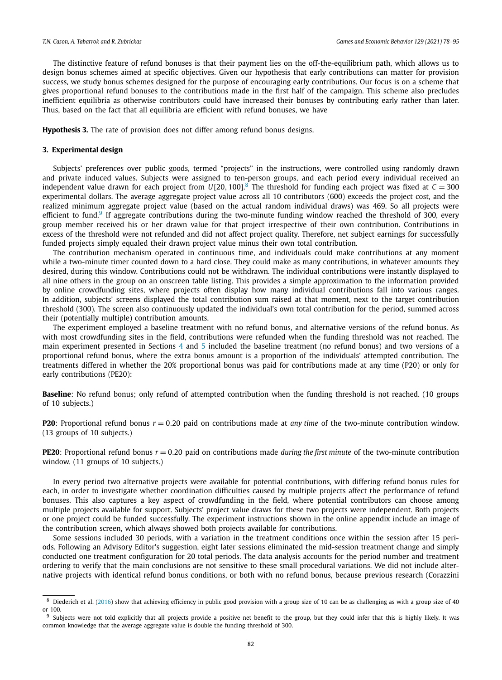The distinctive feature of refund bonuses is that their payment lies on the off-the-equilibrium path, which allows us to design bonus schemes aimed at specific objectives. Given our hypothesis that early contributions can matter for provision success, we study bonus schemes designed for the purpose of encouraging early contributions. Our focus is on a scheme that gives proportional refund bonuses to the contributions made in the first half of the campaign. This scheme also precludes inefficient equilibria as otherwise contributors could have increased their bonuses by contributing early rather than later. Thus, based on the fact that all equilibria are efficient with refund bonuses, we have

**Hypothesis 3.** The rate of provision does not differ among refund bonus designs.

# **3. Experimental design**

Subjects' preferences over public goods, termed "projects" in the instructions, were controlled using randomly drawn and private induced values. Subjects were assigned to ten-person groups, and each period every individual received an independent value drawn for each project from  $U[20, 100]$ .<sup>8</sup> The threshold for funding each project was fixed at  $C = 300$ experimental dollars. The average aggregate project value across all 10 contributors (600) exceeds the project cost, and the realized minimum aggregate project value (based on the actual random individual draws) was 469. So all projects were efficient to fund.<sup>9</sup> If aggregate contributions during the two-minute funding window reached the threshold of 300, every group member received his or her drawn value for that project irrespective of their own contribution. Contributions in excess of the threshold were not refunded and did not affect project quality. Therefore, net subject earnings for successfully funded projects simply equaled their drawn project value minus their own total contribution.

The contribution mechanism operated in continuous time, and individuals could make contributions at any moment while a two-minute timer counted down to a hard close. They could make as many contributions, in whatever amounts they desired, during this window. Contributions could not be withdrawn. The individual contributions were instantly displayed to all nine others in the group on an onscreen table listing. This provides a simple approximation to the information provided by online crowdfunding sites, where projects often display how many individual contributions fall into various ranges. In addition, subjects' screens displayed the total contribution sum raised at that moment, next to the target contribution threshold (300). The screen also continuously updated the individual's own total contribution for the period, summed across their (potentially multiple) contribution amounts.

The experiment employed a baseline treatment with no refund bonus, and alternative versions of the refund bonus. As with most crowdfunding sites in the field, contributions were refunded when the funding threshold was not reached. The main experiment presented in Sections 4 and 5 included the baseline treatment (no refund bonus) and two versions of a proportional refund bonus, where the extra bonus amount is a proportion of the individuals' attempted contribution. The treatments differed in whether the 20% proportional bonus was paid for contributions made at any time (P20) or only for early contributions (PE20):

**Baseline**: No refund bonus; only refund of attempted contribution when the funding threshold is not reached. (10 groups of 10 subjects.)

**P20**: Proportional refund bonus *r* = 0.20 paid on contributions made at *any time* of the two-minute contribution window. (13 groups of 10 subjects.)

**PE20**: Proportional refund bonus *r* = 0.20 paid on contributions made *during the first minute* of the two-minute contribution window. (11 groups of 10 subjects.)

In every period two alternative projects were available for potential contributions, with differing refund bonus rules for each, in order to investigate whether coordination difficulties caused by multiple projects affect the performance of refund bonuses. This also captures a key aspect of crowdfunding in the field, where potential contributors can choose among multiple projects available for support. Subjects' project value draws for these two projects were independent. Both projects or one project could be funded successfully. The experiment instructions shown in the online appendix include an image of the contribution screen, which always showed both projects available for contributions.

Some sessions included 30 periods, with a variation in the treatment conditions once within the session after 15 periods. Following an Advisory Editor's suggestion, eight later sessions eliminated the mid-session treatment change and simply conducted one treatment configuration for 20 total periods. The data analysis accounts for the period number and treatment ordering to verify that the main conclusions are not sensitive to these small procedural variations. We did not include alternative projects with identical refund bonus conditions, or both with no refund bonus, because previous research (Corazzini

<sup>&</sup>lt;sup>8</sup> Diederich et al. (2016) show that achieving efficiency in public good provision with a group size of 10 can be as challenging as with a group size of 40 or 100.

<sup>9</sup> Subjects were not told explicitly that all projects provide a positive net benefit to the group, but they could infer that this is highly likely. It was common knowledge that the average aggregate value is double the funding threshold of 300.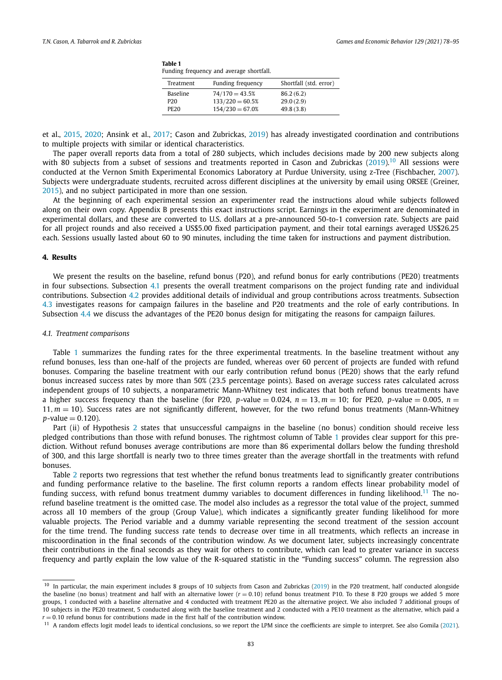| Table 1<br>Funding frequency and average shortfall. |                 |                   |                        |  |  |  |
|-----------------------------------------------------|-----------------|-------------------|------------------------|--|--|--|
|                                                     | Treatment       | Funding frequency | Shortfall (std. error) |  |  |  |
|                                                     | <b>Baseline</b> | $74/170 = 43.5%$  | 86.2(6.2)              |  |  |  |
|                                                     | P <sub>20</sub> | $133/220 = 60.5%$ | 29.0(2.9)              |  |  |  |
|                                                     | <b>PE20</b>     | $154/230 = 67.0%$ | 49.8(3.8)              |  |  |  |

et al., 2015, 2020; Ansink et al., 2017; Cason and Zubrickas, 2019) has already investigated coordination and contributions to multiple projects with similar or identical characteristics.

The paper overall reports data from a total of 280 subjects, which includes decisions made by 200 new subjects along with 80 subjects from a subset of sessions and treatments reported in Cason and Zubrickas (2019).<sup>10</sup> All sessions were conducted at the Vernon Smith Experimental Economics Laboratory at Purdue University, using z-Tree (Fischbacher, 2007). Subjects were undergraduate students, recruited across different disciplines at the university by email using ORSEE (Greiner, 2015), and no subject participated in more than one session.

At the beginning of each experimental session an experimenter read the instructions aloud while subjects followed along on their own copy. Appendix B presents this exact instructions script. Earnings in the experiment are denominated in experimental dollars, and these are converted to U.S. dollars at a pre-announced 50-to-1 conversion rate. Subjects are paid for all project rounds and also received a US\$5.00 fixed participation payment, and their total earnings averaged US\$26.25 each. Sessions usually lasted about 60 to 90 minutes, including the time taken for instructions and payment distribution.

#### **4. Results**

We present the results on the baseline, refund bonus (P20), and refund bonus for early contributions (PE20) treatments in four subsections. Subsection 4.1 presents the overall treatment comparisons on the project funding rate and individual contributions. Subsection 4.2 provides additional details of individual and group contributions across treatments. Subsection 4.3 investigates reasons for campaign failures in the baseline and P20 treatments and the role of early contributions. In Subsection 4.4 we discuss the advantages of the PE20 bonus design for mitigating the reasons for campaign failures.

# *4.1. Treatment comparisons*

Table 1 summarizes the funding rates for the three experimental treatments. In the baseline treatment without any refund bonuses, less than one-half of the projects are funded, whereas over 60 percent of projects are funded with refund bonuses. Comparing the baseline treatment with our early contribution refund bonus (PE20) shows that the early refund bonus increased success rates by more than 50% (23.5 percentage points). Based on average success rates calculated across independent groups of 10 subjects, a nonparametric Mann-Whitney test indicates that both refund bonus treatments have a higher success frequency than the baseline (for P20, *p*-value = 0.024,  $n = 13$ ,  $m = 10$ ; for PE20, *p*-value = 0.005,  $n =$ 11,*m* = 10). Success rates are not significantly different, however, for the two refund bonus treatments (Mann-Whitney  $p$ -value = 0.120).

Part (ii) of Hypothesis 2 states that unsuccessful campaigns in the baseline (no bonus) condition should receive less pledged contributions than those with refund bonuses. The rightmost column of Table 1 provides clear support for this prediction. Without refund bonuses average contributions are more than 86 experimental dollars below the funding threshold of 300, and this large shortfall is nearly two to three times greater than the average shortfall in the treatments with refund bonuses.

Table 2 reports two regressions that test whether the refund bonus treatments lead to significantly greater contributions and funding performance relative to the baseline. The first column reports a random effects linear probability model of funding success, with refund bonus treatment dummy variables to document differences in funding likelihood.<sup>11</sup> The norefund baseline treatment is the omitted case. The model also includes as a regressor the total value of the project, summed across all 10 members of the group (Group Value), which indicates a significantly greater funding likelihood for more valuable projects. The Period variable and a dummy variable representing the second treatment of the session account for the time trend. The funding success rate tends to decrease over time in all treatments, which reflects an increase in miscoordination in the final seconds of the contribution window. As we document later, subjects increasingly concentrate their contributions in the final seconds as they wait for others to contribute, which can lead to greater variance in success frequency and partly explain the low value of the R-squared statistic in the "Funding success" column. The regression also

<sup>&</sup>lt;sup>10</sup> In particular, the main experiment includes 8 groups of 10 subjects from Cason and Zubrickas (2019) in the P20 treatment, half conducted alongside the baseline (no bonus) treatment and half with an alternative lower (*r* = 0.10) refund bonus treatment P10. To these 8 P20 groups we added 5 more groups, 1 conducted with a baseline alternative and 4 conducted with treatment PE20 as the alternative project. We also included 7 additional groups of 10 subjects in the PE20 treatment, 5 conducted along with the baseline treatment and 2 conducted with a PE10 treatment as the alternative, which paid a  $r = 0.10$  refund bonus for contributions made in the first half of the contribution window.

 $11$  A random effects logit model leads to identical conclusions, so we report the LPM since the coefficients are simple to interpret. See also Gomila (2021).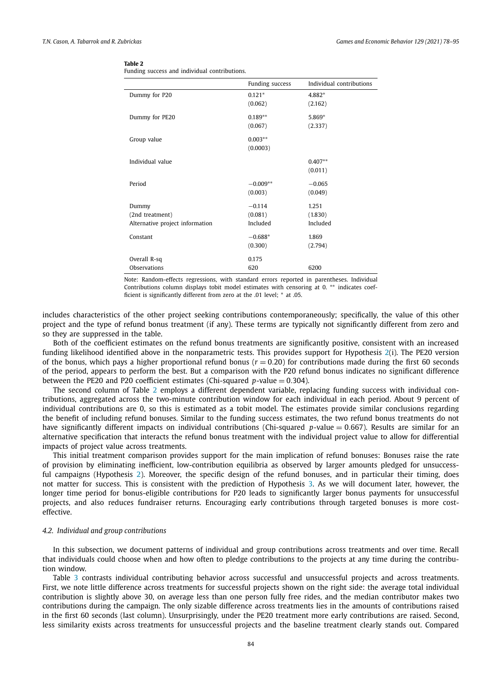|  |  | Funding success and individual contributions. |
|--|--|-----------------------------------------------|
|  |  |                                               |

| Funding success | Individual contributions                                                                                                                                          |
|-----------------|-------------------------------------------------------------------------------------------------------------------------------------------------------------------|
|                 | 4.882*                                                                                                                                                            |
|                 | (2.162)                                                                                                                                                           |
|                 | 5.869*                                                                                                                                                            |
|                 | (2.337)                                                                                                                                                           |
|                 |                                                                                                                                                                   |
|                 |                                                                                                                                                                   |
|                 | $0.407**$                                                                                                                                                         |
|                 | (0.011)                                                                                                                                                           |
|                 | $-0.065$                                                                                                                                                          |
|                 | (0.049)                                                                                                                                                           |
|                 | 1.251                                                                                                                                                             |
|                 | (1.830)                                                                                                                                                           |
|                 | Included                                                                                                                                                          |
|                 | 1.869                                                                                                                                                             |
|                 | (2.794)                                                                                                                                                           |
|                 |                                                                                                                                                                   |
|                 | 6200                                                                                                                                                              |
|                 | $0.121*$<br>(0.062)<br>$0.189**$<br>(0.067)<br>$0.003**$<br>(0.0003)<br>$-0.009**$<br>(0.003)<br>$-0.114$<br>(0.081)<br>Included<br>$-0.688*$<br>(0.300)<br>0.175 |

Note: Random-effects regressions, with standard errors reported in parentheses. Individual Contributions column displays tobit model estimates with censoring at 0. ∗∗ indicates coefficient is significantly different from zero at the .01 level; \* at .05.

includes characteristics of the other project seeking contributions contemporaneously; specifically, the value of this other project and the type of refund bonus treatment (if any). These terms are typically not significantly different from zero and so they are suppressed in the table.

Both of the coefficient estimates on the refund bonus treatments are significantly positive, consistent with an increased funding likelihood identified above in the nonparametric tests. This provides support for Hypothesis 2(i). The PE20 version of the bonus, which pays a higher proportional refund bonus  $(r = 0.20)$  for contributions made during the first 60 seconds of the period, appears to perform the best. But a comparison with the P20 refund bonus indicates no significant difference between the PE20 and P20 coefficient estimates (Chi-squared  $p$ -value = 0.304).

The second column of Table 2 employs a different dependent variable, replacing funding success with individual contributions, aggregated across the two-minute contribution window for each individual in each period. About 9 percent of individual contributions are 0, so this is estimated as a tobit model. The estimates provide similar conclusions regarding the benefit of including refund bonuses. Similar to the funding success estimates, the two refund bonus treatments do not have significantly different impacts on individual contributions (Chi-squared *p*-value = 0.667). Results are similar for an alternative specification that interacts the refund bonus treatment with the individual project value to allow for differential impacts of project value across treatments.

This initial treatment comparison provides support for the main implication of refund bonuses: Bonuses raise the rate of provision by eliminating inefficient, low-contribution equilibria as observed by larger amounts pledged for unsuccessful campaigns (Hypothesis 2). Moreover, the specific design of the refund bonuses, and in particular their timing, does not matter for success. This is consistent with the prediction of Hypothesis 3. As we will document later, however, the longer time period for bonus-eligible contributions for P20 leads to significantly larger bonus payments for unsuccessful projects, and also reduces fundraiser returns. Encouraging early contributions through targeted bonuses is more costeffective.

# *4.2. Individual and group contributions*

In this subsection, we document patterns of individual and group contributions across treatments and over time. Recall that individuals could choose when and how often to pledge contributions to the projects at any time during the contribution window.

Table 3 contrasts individual contributing behavior across successful and unsuccessful projects and across treatments. First, we note little difference across treatments for successful projects shown on the right side: the average total individual contribution is slightly above 30, on average less than one person fully free rides, and the median contributor makes two contributions during the campaign. The only sizable difference across treatments lies in the amounts of contributions raised in the first 60 seconds (last column). Unsurprisingly, under the PE20 treatment more early contributions are raised. Second, less similarity exists across treatments for unsuccessful projects and the baseline treatment clearly stands out. Compared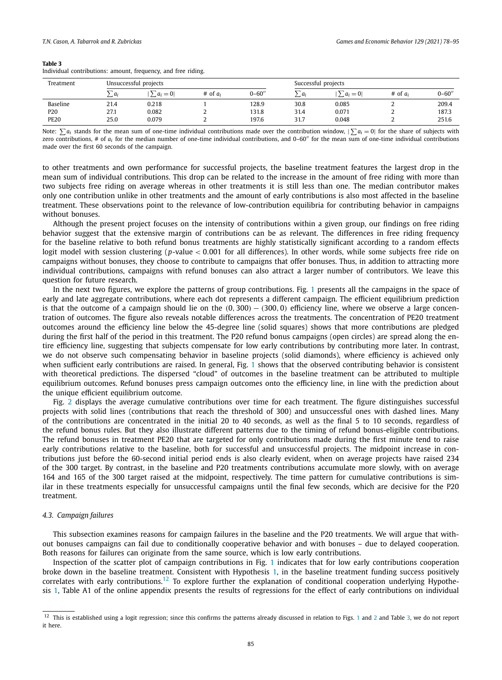Individual contributions: amount, frequency, and free riding.

| Treatment       | Unsuccessful projects |           |            |            | Successful projects |           |              |            |
|-----------------|-----------------------|-----------|------------|------------|---------------------|-----------|--------------|------------|
|                 | $a_i$                 | $a_i = 0$ | # of $a_i$ | $0 - 60''$ | $a_i$               | $a_i = 0$ | $#$ of $a_i$ | $0 - 60''$ |
| Baseline        | 21.4                  | 0.218     |            | 128.9      | 30.8                | 0.085     |              | 209.4      |
| P <sub>20</sub> | 27.1                  | 0.082     | ∼          | 131.8      | 31.4                | 0.071     |              | 187.3      |
| <b>PE20</b>     | 25.0                  | 0.079     |            | 197.6      | 31.7                | 0.048     |              | 251.6      |

Note:  $\sum a_i$  stands for the mean sum of one-time individual contributions made over the contribution window,  $|\sum a_i = 0|$  for the share of subjects with zero contributions, # of *a<sup>i</sup>* for the median number of one-time individual contributions, and 0–60′′ for the mean sum of one-time individual contributions made over the first 60 seconds of the campaign.

to other treatments and own performance for successful projects, the baseline treatment features the largest drop in the mean sum of individual contributions. This drop can be related to the increase in the amount of free riding with more than two subjects free riding on average whereas in other treatments it is still less than one. The median contributor makes only one contribution unlike in other treatments and the amount of early contributions is also most affected in the baseline treatment. These observations point to the relevance of low-contribution equilibria for contributing behavior in campaigns without bonuses.

Although the present project focuses on the intensity of contributions within a given group, our findings on free riding behavior suggest that the extensive margin of contributions can be as relevant. The differences in free riding frequency for the baseline relative to both refund bonus treatments are highly statistically significant according to a random effects logit model with session clustering (*p*-value < 0.001 for all differences). In other words, while some subjects free ride on campaigns without bonuses, they choose to contribute to campaigns that offer bonuses. Thus, in addition to attracting more individual contributions, campaigns with refund bonuses can also attract a larger number of contributors. We leave this question for future research.

In the next two figures, we explore the patterns of group contributions. Fig. 1 presents all the campaigns in the space of early and late aggregate contributions, where each dot represents a different campaign. The efficient equilibrium prediction is that the outcome of a campaign should lie on the  $(0, 300) - (300, 0)$  efficiency line, where we observe a large concentration of outcomes. The figure also reveals notable differences across the treatments. The concentration of PE20 treatment outcomes around the efficiency line below the 45-degree line (solid squares) shows that more contributions are pledged during the first half of the period in this treatment. The P20 refund bonus campaigns (open circles) are spread along the entire efficiency line, suggesting that subjects compensate for low early contributions by contributing more later. In contrast, we do not observe such compensating behavior in baseline projects (solid diamonds), where efficiency is achieved only when sufficient early contributions are raised. In general, Fig. 1 shows that the observed contributing behavior is consistent with theoretical predictions. The dispersed "cloud" of outcomes in the baseline treatment can be attributed to multiple equilibrium outcomes. Refund bonuses press campaign outcomes onto the efficiency line, in line with the prediction about the unique efficient equilibrium outcome.

Fig. 2 displays the average cumulative contributions over time for each treatment. The figure distinguishes successful projects with solid lines (contributions that reach the threshold of 300) and unsuccessful ones with dashed lines. Many of the contributions are concentrated in the initial 20 to 40 seconds, as well as the final 5 to 10 seconds, regardless of the refund bonus rules. But they also illustrate different patterns due to the timing of refund bonus-eligible contributions. The refund bonuses in treatment PE20 that are targeted for only contributions made during the first minute tend to raise early contributions relative to the baseline, both for successful and unsuccessful projects. The midpoint increase in contributions just before the 60-second initial period ends is also clearly evident, when on average projects have raised 234 of the 300 target. By contrast, in the baseline and P20 treatments contributions accumulate more slowly, with on average 164 and 165 of the 300 target raised at the midpoint, respectively. The time pattern for cumulative contributions is similar in these treatments especially for unsuccessful campaigns until the final few seconds, which are decisive for the P20 treatment.

# *4.3. Campaign failures*

This subsection examines reasons for campaign failures in the baseline and the P20 treatments. We will argue that without bonuses campaigns can fail due to conditionally cooperative behavior and with bonuses – due to delayed cooperation. Both reasons for failures can originate from the same source, which is low early contributions.

Inspection of the scatter plot of campaign contributions in Fig. 1 indicates that for low early contributions cooperation broke down in the baseline treatment. Consistent with Hypothesis 1, in the baseline treatment funding success positively correlates with early contributions.<sup>12</sup> To explore further the explanation of conditional cooperation underlying Hypothesis 1, Table A1 of the online appendix presents the results of regressions for the effect of early contributions on individual

 $12$  This is established using a logit regression; since this confirms the patterns already discussed in relation to Figs. 1 and 2 and Table 3, we do not report it here.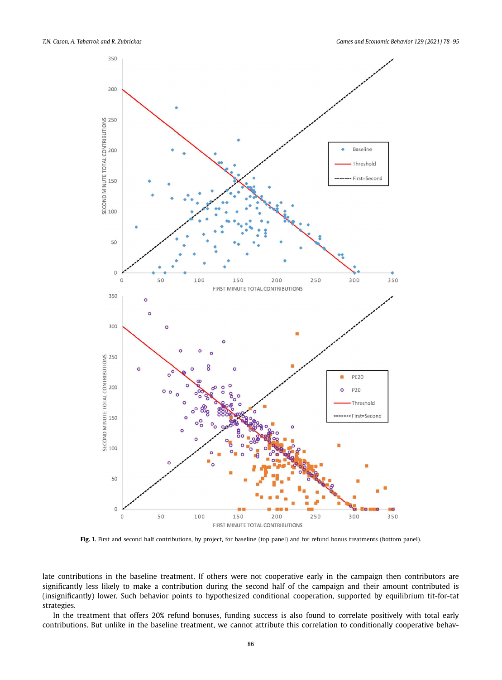

**Fig. 1.** First and second half contributions, by project, for baseline (top panel) and for refund bonus treatments (bottom panel).

late contributions in the baseline treatment. If others were not cooperative early in the campaign then contributors are significantly less likely to make a contribution during the second half of the campaign and their amount contributed is (insignificantly) lower. Such behavior points to hypothesized conditional cooperation, supported by equilibrium tit-for-tat strategies.

In the treatment that offers 20% refund bonuses, funding success is also found to correlate positively with total early contributions. But unlike in the baseline treatment, we cannot attribute this correlation to conditionally cooperative behav-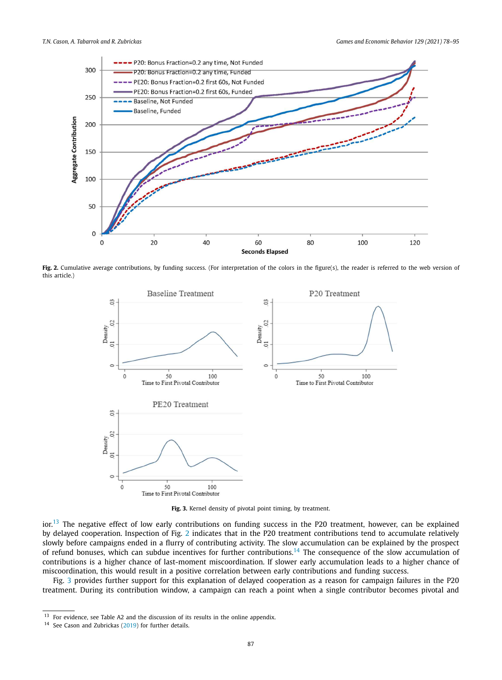

Fig. 2. Cumulative average contributions, by funding success. (For interpretation of the colors in the figure(s), the reader is referred to the web version of this article.)



**Fig. 3.** Kernel density of pivotal point timing, by treatment.

 $\mathrm{in}^{13}$  The negative effect of low early contributions on funding success in the P20 treatment, however, can be explained by delayed cooperation. Inspection of Fig. 2 indicates that in the P20 treatment contributions tend to accumulate relatively slowly before campaigns ended in a flurry of contributing activity. The slow accumulation can be explained by the prospect of refund bonuses, which can subdue incentives for further contributions.<sup>14</sup> The consequence of the slow accumulation of contributions is a higher chance of last-moment miscoordination. If slower early accumulation leads to a higher chance of miscoordination, this would result in a positive correlation between early contributions and funding success.

Fig. 3 provides further support for this explanation of delayed cooperation as a reason for campaign failures in the P20 treatment. During its contribution window, a campaign can reach a point when a single contributor becomes pivotal and

 $13$  For evidence, see Table A2 and the discussion of its results in the online appendix.

<sup>14</sup> See Cason and Zubrickas (2019) for further details.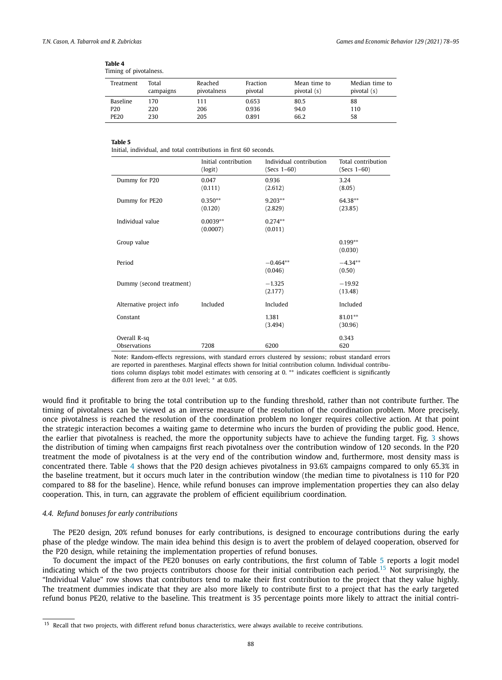| $\frac{1}{2}$   |                    |                        |                     |                             |                               |  |  |
|-----------------|--------------------|------------------------|---------------------|-----------------------------|-------------------------------|--|--|
| Treatment       | Total<br>campaigns | Reached<br>pivotalness | Fraction<br>pivotal | Mean time to<br>pivotal (s) | Median time to<br>pivotal (s) |  |  |
| Baseline        | 170                | 111                    | 0.653               | 80.5                        | 88                            |  |  |
| P <sub>20</sub> | 220                | 206                    | 0.936               | 94.0                        | 110                           |  |  |
| <b>PE20</b>     | 230                | 205                    | 0.891               | 66.2                        | 58                            |  |  |
|                 |                    |                        |                     |                             |                               |  |  |

| Table 4 |                       |
|---------|-----------------------|
|         | Timing of pivotalness |

Initial, individual, and total contributions in first 60 seconds.

|                              | Initial contribution<br>(logit) | Individual contribution<br>$(Secs 1-60)$ | Total contribution<br>$(Secs 1-60)$ |
|------------------------------|---------------------------------|------------------------------------------|-------------------------------------|
| Dummy for P20                | 0.047<br>(0.111)                | 0.936<br>(2.612)                         | 3.24<br>(8.05)                      |
| Dummy for PE20               | $0.350**$<br>(0.120)            | $9.203**$<br>(2.829)                     | 64.38**<br>(23.85)                  |
| Individual value             | $0.0039**$<br>(0.0007)          | $0.274**$<br>(0.011)                     |                                     |
| Group value                  |                                 |                                          | $0.199**$<br>(0.030)                |
| Period                       |                                 | $-0.464**$<br>(0.046)                    | $-4.34**$<br>(0.50)                 |
| Dummy (second treatment)     |                                 | $-1.325$<br>(2.177)                      | $-19.92$<br>(13.48)                 |
| Alternative project info     | Included                        | Included                                 | Included                            |
| Constant                     |                                 | 1.381<br>(3.494)                         | $81.01**$<br>(30.96)                |
| Overall R-sq<br>Observations | 7208                            | 6200                                     | 0.343<br>620                        |

Note: Random-effects regressions, with standard errors clustered by sessions; robust standard errors are reported in parentheses. Marginal effects shown for Initial contribution column. Individual contributions column displays tobit model estimates with censoring at 0. <sup>∗</sup>\* indicates coefficient is significantly different from zero at the 0.01 level; \* at 0.05.

would find it profitable to bring the total contribution up to the funding threshold, rather than not contribute further. The timing of pivotalness can be viewed as an inverse measure of the resolution of the coordination problem. More precisely, once pivotalness is reached the resolution of the coordination problem no longer requires collective action. At that point the strategic interaction becomes a waiting game to determine who incurs the burden of providing the public good. Hence, the earlier that pivotalness is reached, the more the opportunity subjects have to achieve the funding target. Fig. 3 shows the distribution of timing when campaigns first reach pivotalness over the contribution window of 120 seconds. In the P20 treatment the mode of pivotalness is at the very end of the contribution window and, furthermore, most density mass is concentrated there. Table 4 shows that the P20 design achieves pivotalness in 93.6% campaigns compared to only 65.3% in the baseline treatment, but it occurs much later in the contribution window (the median time to pivotalness is 110 for P20 compared to 88 for the baseline). Hence, while refund bonuses can improve implementation properties they can also delay cooperation. This, in turn, can aggravate the problem of efficient equilibrium coordination.

# *4.4. Refund bonuses for early contributions*

The PE20 design, 20% refund bonuses for early contributions, is designed to encourage contributions during the early phase of the pledge window. The main idea behind this design is to avert the problem of delayed cooperation, observed for the P20 design, while retaining the implementation properties of refund bonuses.

To document the impact of the PE20 bonuses on early contributions, the first column of Table 5 reports a logit model indicating which of the two projects contributors choose for their initial contribution each period.<sup>15</sup> Not surprisingly, the "Individual Value" row shows that contributors tend to make their first contribution to the project that they value highly. The treatment dummies indicate that they are also more likely to contribute first to a project that has the early targeted refund bonus PE20, relative to the baseline. This treatment is 35 percentage points more likely to attract the initial contri-

<sup>&</sup>lt;sup>15</sup> Recall that two projects, with different refund bonus characteristics, were always available to receive contributions.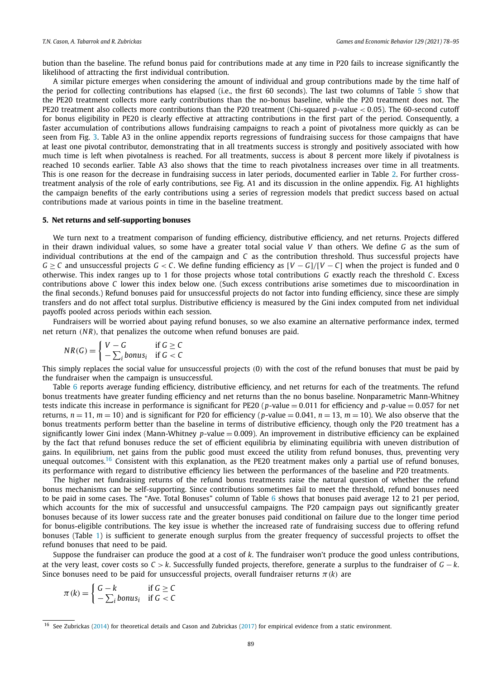bution than the baseline. The refund bonus paid for contributions made at any time in P20 fails to increase significantly the likelihood of attracting the first individual contribution.

A similar picture emerges when considering the amount of individual and group contributions made by the time half of the period for collecting contributions has elapsed (i.e., the first 60 seconds). The last two columns of Table 5 show that the PE20 treatment collects more early contributions than the no-bonus baseline, while the P20 treatment does not. The PE20 treatment also collects more contributions than the P20 treatment (Chi-squared *p*-value < 0.05). The 60-second cutoff for bonus eligibility in PE20 is clearly effective at attracting contributions in the first part of the period. Consequently, a faster accumulation of contributions allows fundraising campaigns to reach a point of pivotalness more quickly as can be seen from Fig. 3. Table A3 in the online appendix reports regressions of fundraising success for those campaigns that have at least one pivotal contributor, demonstrating that in all treatments success is strongly and positively associated with how much time is left when pivotalness is reached. For all treatments, success is about 8 percent more likely if pivotalness is reached 10 seconds earlier. Table A3 also shows that the time to reach pivotalness increases over time in all treatments. This is one reason for the decrease in fundraising success in later periods, documented earlier in Table 2. For further crosstreatment analysis of the role of early contributions, see Fig. A1 and its discussion in the online appendix. Fig. A1 highlights the campaign benefits of the early contributions using a series of regression models that predict success based on actual contributions made at various points in time in the baseline treatment.

# **5. Net returns and self-supporting bonuses**

We turn next to a treatment comparison of funding efficiency, distributive efficiency, and net returns. Projects differed in their drawn individual values, so some have a greater total social value *V* than others. We define *G* as the sum of individual contributions at the end of the campaign and *C* as the contribution threshold. Thus successful projects have *G* ≥ *C* and unsuccessful projects *G* < *C*. We define funding efficiency as  $[V − G]/[V − C]$  when the project is funded and 0 otherwise. This index ranges up to 1 for those projects whose total contributions *G* exactly reach the threshold *C*. Excess contributions above *C* lower this index below one. (Such excess contributions arise sometimes due to miscoordination in the final seconds.) Refund bonuses paid for unsuccessful projects do not factor into funding efficiency, since these are simply transfers and do not affect total surplus. Distributive efficiency is measured by the Gini index computed from net individual payoffs pooled across periods within each session.

Fundraisers will be worried about paying refund bonuses, so we also examine an alternative performance index, termed net return (*N R*), that penalizes the outcome when refund bonuses are paid.

$$
NR(G) = \begin{cases} V - G & \text{if } G \ge C \\ -\sum_{i} bonus_{i} & \text{if } G < C \end{cases}
$$

This simply replaces the social value for unsuccessful projects (0) with the cost of the refund bonuses that must be paid by the fundraiser when the campaign is unsuccessful.

Table 6 reports average funding efficiency, distributive efficiency, and net returns for each of the treatments. The refund bonus treatments have greater funding efficiency and net returns than the no bonus baseline. Nonparametric Mann-Whitney tests indicate this increase in performance is significant for PE20 (*p*-value = 0.011 for efficiency and *p*-value = 0.057 for net returns,  $n = 11$ ,  $m = 10$ ) and is significant for P20 for efficiency (*p*-value = 0.041,  $n = 13$ ,  $m = 10$ ). We also observe that the bonus treatments perform better than the baseline in terms of distributive efficiency, though only the P20 treatment has a significantly lower Gini index (Mann-Whitney *p*-value = 0.009). An improvement in distributive efficiency can be explained by the fact that refund bonuses reduce the set of efficient equilibria by eliminating equilibria with uneven distribution of gains. In equilibrium, net gains from the public good must exceed the utility from refund bonuses, thus, preventing very unequal outcomes.<sup>16</sup> Consistent with this explanation, as the PE20 treatment makes only a partial use of refund bonuses, its performance with regard to distributive efficiency lies between the performances of the baseline and P20 treatments.

The higher net fundraising returns of the refund bonus treatments raise the natural question of whether the refund bonus mechanisms can be self-supporting. Since contributions sometimes fail to meet the threshold, refund bonuses need to be paid in some cases. The "Ave. Total Bonuses" column of Table 6 shows that bonuses paid average 12 to 21 per period, which accounts for the mix of successful and unsuccessful campaigns. The P20 campaign pays out significantly greater bonuses because of its lower success rate and the greater bonuses paid conditional on failure due to the longer time period for bonus-eligible contributions. The key issue is whether the increased rate of fundraising success due to offering refund bonuses (Table 1) is sufficient to generate enough surplus from the greater frequency of successful projects to offset the refund bonuses that need to be paid.

Suppose the fundraiser can produce the good at a cost of *k*. The fundraiser won't produce the good unless contributions, at the very least, cover costs so *C* > *k*. Successfully funded projects, therefore, generate a surplus to the fundraiser of *G* − *k*. Since bonuses need to be paid for unsuccessful projects, overall fundraiser returns  $\pi(k)$  are

$$
\pi(k) = \begin{cases} G - k & \text{if } G \ge C \\ -\sum_i \text{bonus}_i & \text{if } G < C \end{cases}
$$

<sup>&</sup>lt;sup>16</sup> See Zubrickas (2014) for theoretical details and Cason and Zubrickas (2017) for empirical evidence from a static environment.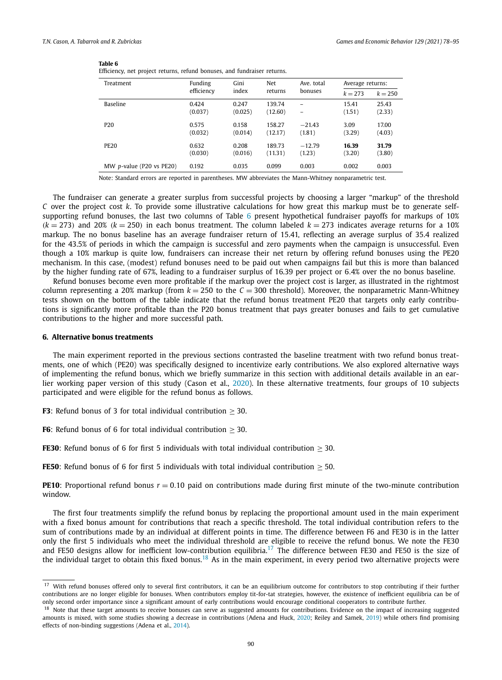| Efficiency, net project returns, refund bonuses, and fundraiser returns. |                  |                  |                   |                                               |                 |                  |  |
|--------------------------------------------------------------------------|------------------|------------------|-------------------|-----------------------------------------------|-----------------|------------------|--|
| Treatment                                                                | Funding          | Gini             | Net               | Ave. total                                    |                 | Average returns: |  |
|                                                                          | efficiency       | index            | returns           | bonuses                                       | $k = 273$       | $k = 250$        |  |
| <b>Baseline</b>                                                          | 0.424<br>(0.037) | 0.247<br>(0.025) | 139.74<br>(12.60) | $\overline{\phantom{0}}$<br>$\qquad \qquad -$ | 15.41<br>(1.51) | 25.43<br>(2.33)  |  |
| P <sub>20</sub>                                                          | 0.575<br>(0.032) | 0.158<br>(0.014) | 158.27<br>(12.17) | $-21.43$<br>(1.81)                            | 3.09<br>(3.29)  | 17.00<br>(4.03)  |  |
| <b>PE20</b>                                                              | 0.632<br>(0.030) | 0.208<br>(0.016) | 189.73<br>(11.31) | $-12.79$<br>(1.23)                            | 16.39<br>(3.20) | 31.79<br>(3.80)  |  |
| MW $p$ -value (P20 vs PE20)                                              | 0.192            | 0.035            | 0.099             | 0.003                                         | 0.002           | 0.003            |  |

Note: Standard errors are reported in parentheses. MW abbreviates the Mann-Whitney nonparametric test.

The fundraiser can generate a greater surplus from successful projects by choosing a larger "markup" of the threshold *C* over the project cost *k*. To provide some illustrative calculations for how great this markup must be to generate selfsupporting refund bonuses, the last two columns of Table 6 present hypothetical fundraiser payoffs for markups of 10%  $(k = 273)$  and 20%  $(k = 250)$  in each bonus treatment. The column labeled  $k = 273$  indicates average returns for a 10% markup. The no bonus baseline has an average fundraiser return of 15.41, reflecting an average surplus of 35.4 realized for the 43.5% of periods in which the campaign is successful and zero payments when the campaign is unsuccessful. Even though a 10% markup is quite low, fundraisers can increase their net return by offering refund bonuses using the PE20 mechanism. In this case, (modest) refund bonuses need to be paid out when campaigns fail but this is more than balanced by the higher funding rate of 67%, leading to a fundraiser surplus of 16.39 per project or 6.4% over the no bonus baseline.

Refund bonuses become even more profitable if the markup over the project cost is larger, as illustrated in the rightmost column representing a 20% markup (from  $k = 250$  to the  $C = 300$  threshold). Moreover, the nonparametric Mann-Whitney tests shown on the bottom of the table indicate that the refund bonus treatment PE20 that targets only early contributions is significantly more profitable than the P20 bonus treatment that pays greater bonuses and fails to get cumulative contributions to the higher and more successful path.

# **6. Alternative bonus treatments**

The main experiment reported in the previous sections contrasted the baseline treatment with two refund bonus treatments, one of which (PE20) was specifically designed to incentivize early contributions. We also explored alternative ways of implementing the refund bonus, which we briefly summarize in this section with additional details available in an earlier working paper version of this study (Cason et al., 2020). In these alternative treatments, four groups of 10 subjects participated and were eligible for the refund bonus as follows.

**F3**: Refund bonus of 3 for total individual contribution > 30.

**F6**: Refund bonus of 6 for total individual contribution  $\geq$  30.

**FE30**: Refund bonus of 6 for first 5 individuals with total individual contribution  $>$  30.

**FE50**: Refund bonus of 6 for first 5 individuals with total individual contribution  $> 50$ .

**PE10**: Proportional refund bonus  $r = 0.10$  paid on contributions made during first minute of the two-minute contribution window.

The first four treatments simplify the refund bonus by replacing the proportional amount used in the main experiment with a fixed bonus amount for contributions that reach a specific threshold. The total individual contribution refers to the sum of contributions made by an individual at different points in time. The difference between F6 and FE30 is in the latter only the first 5 individuals who meet the individual threshold are eligible to receive the refund bonus. We note the FE30 and FE50 designs allow for inefficient low-contribution equilibria.<sup>17</sup> The difference between FE30 and FE50 is the size of the individual target to obtain this fixed bonus.<sup>18</sup> As in the main experiment, in every period two alternative projects were

<sup>&</sup>lt;sup>17</sup> With refund bonuses offered only to several first contributors, it can be an equilibrium outcome for contributors to stop contributing if their further contributions are no longer eligible for bonuses. When contributors employ tit-for-tat strategies, however, the existence of inefficient equilibria can be of only second order importance since a significant amount of early contributions would encourage conditional cooperators to contribute further.

<sup>&</sup>lt;sup>18</sup> Note that these target amounts to receive bonuses can serve as suggested amounts for contributions. Evidence on the impact of increasing suggested amounts is mixed, with some studies showing a decrease in contributions (Adena and Huck, 2020; Reiley and Samek, 2019) while others find promising effects of non-binding suggestions (Adena et al., 2014).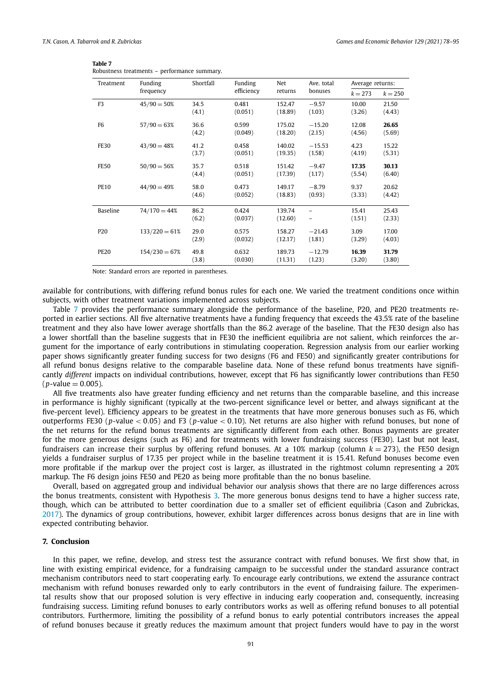| Treatment       | Funding         | Shortfall     | Funding          | Net               | Ave. total         | Average returns: |                 |
|-----------------|-----------------|---------------|------------------|-------------------|--------------------|------------------|-----------------|
|                 | frequency       |               | efficiency       | returns           | bonuses            | $k = 273$        | $k = 250$       |
| F <sub>3</sub>  | $45/90 = 50%$   | 34.5<br>(4.1) | 0.481<br>(0.051) | 152.47<br>(18.89) | $-9.57$<br>(1.03)  | 10.00<br>(3.26)  | 21.50<br>(4.43) |
| F <sub>6</sub>  | $57/90 = 63%$   | 36.6<br>(4.2) | 0.599<br>(0.049) | 175.02<br>(18.20) | $-15.20$<br>(2.15) | 12.08<br>(4.56)  | 26.65<br>(5.69) |
| <b>FE30</b>     | $43/90 = 48%$   | 41.2<br>(3.7) | 0.458<br>(0.051) | 140.02<br>(19.35) | $-15.53$<br>(1.58) | 4.23<br>(4.19)   | 15.22<br>(5.31) |
| <b>FE50</b>     | $50/90 = 56%$   | 35.7<br>(4.4) | 0.518<br>(0.051) | 151.42<br>(17.39) | $-9.47$<br>(1.17)  | 17.35<br>(5.54)  | 30.13<br>(6.40) |
| <b>PE10</b>     | $44/90 = 49%$   | 58.0<br>(4.6) | 0.473<br>(0.052) | 149.17<br>(18.83) | $-8.79$<br>(0.93)  | 9.37<br>(3.33)   | 20.62<br>(4.42) |
| Baseline        | $74/170 = 44%$  | 86.2<br>(6.2) | 0.424<br>(0.037) | 139.74<br>(12.60) | $\qquad \qquad -$  | 15.41<br>(1.51)  | 25.43<br>(2.33) |
| P <sub>20</sub> | $133/220 = 61%$ | 29.0<br>(2.9) | 0.575<br>(0.032) | 158.27<br>(12.17) | $-21.43$<br>(1.81) | 3.09<br>(3.29)   | 17.00<br>(4.03) |
| <b>PE20</b>     | $154/230 = 67%$ | 49.8<br>(3.8) | 0.632<br>(0.030) | 189.73<br>(11.31) | $-12.79$<br>(1.23) | 16.39<br>(3.20)  | 31.79<br>(3.80) |

| Table 7                                      |  |
|----------------------------------------------|--|
| Robustness treatments - performance summary. |  |

Note: Standard errors are reported in parentheses.

available for contributions, with differing refund bonus rules for each one. We varied the treatment conditions once within subjects, with other treatment variations implemented across subjects.

Table 7 provides the performance summary alongside the performance of the baseline, P20, and PE20 treatments reported in earlier sections. All five alternative treatments have a funding frequency that exceeds the 43.5% rate of the baseline treatment and they also have lower average shortfalls than the 86.2 average of the baseline. That the FE30 design also has a lower shortfall than the baseline suggests that in FE30 the inefficient equilibria are not salient, which reinforces the argument for the importance of early contributions in stimulating cooperation. Regression analysis from our earlier working paper shows significantly greater funding success for two designs (F6 and FE50) and significantly greater contributions for all refund bonus designs relative to the comparable baseline data. None of these refund bonus treatments have significantly *different* impacts on individual contributions, however, except that F6 has significantly lower contributions than FE50  $(p$ -value = 0.005).

All five treatments also have greater funding efficiency and net returns than the comparable baseline, and this increase in performance is highly significant (typically at the two-percent significance level or better, and always significant at the five-percent level). Efficiency appears to be greatest in the treatments that have more generous bonuses such as F6, which outperforms FE30 (*p*-value < 0.05) and F3 (*p*-value < 0.10). Net returns are also higher with refund bonuses, but none of the net returns for the refund bonus treatments are significantly different from each other. Bonus payments are greater for the more generous designs (such as F6) and for treatments with lower fundraising success (FE30). Last but not least, fundraisers can increase their surplus by offering refund bonuses. At a  $10\%$  markup (column  $k = 273$ ), the FE50 design yields a fundraiser surplus of 17.35 per project while in the baseline treatment it is 15.41. Refund bonuses become even more profitable if the markup over the project cost is larger, as illustrated in the rightmost column representing a 20% markup. The F6 design joins FE50 and PE20 as being more profitable than the no bonus baseline.

Overall, based on aggregated group and individual behavior our analysis shows that there are no large differences across the bonus treatments, consistent with Hypothesis 3. The more generous bonus designs tend to have a higher success rate, though, which can be attributed to better coordination due to a smaller set of efficient equilibria (Cason and Zubrickas, 2017). The dynamics of group contributions, however, exhibit larger differences across bonus designs that are in line with expected contributing behavior.

# **7. Conclusion**

In this paper, we refine, develop, and stress test the assurance contract with refund bonuses. We first show that, in line with existing empirical evidence, for a fundraising campaign to be successful under the standard assurance contract mechanism contributors need to start cooperating early. To encourage early contributions, we extend the assurance contract mechanism with refund bonuses rewarded only to early contributors in the event of fundraising failure. The experimental results show that our proposed solution is very effective in inducing early cooperation and, consequently, increasing fundraising success. Limiting refund bonuses to early contributors works as well as offering refund bonuses to all potential contributors. Furthermore, limiting the possibility of a refund bonus to early potential contributors increases the appeal of refund bonuses because it greatly reduces the maximum amount that project funders would have to pay in the worst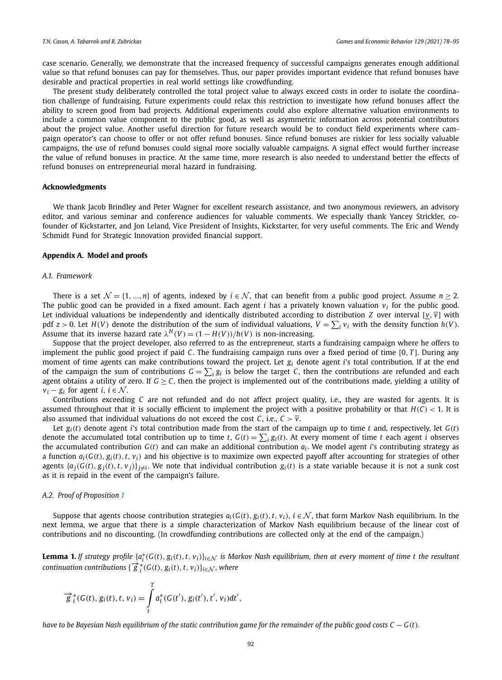case scenario. Generally, we demonstrate that the increased frequency of successful campaigns generates enough additional value so that refund bonuses can pay for themselves. Thus, our paper provides important evidence that refund bonuses have desirable and practical properties in real world settings like crowdfunding.

The present study deliberately controlled the total project value to always exceed costs in order to isolate the coordination challenge of fundraising. Future experiments could relax this restriction to investigate how refund bonuses affect the ability to screen good from bad projects. Additional experiments could also explore alternative valuation environments to include a common value component to the public good, as well as asymmetric information across potential contributors about the project value. Another useful direction for future research would be to conduct field experiments where campaign operator's can choose to offer or not offer refund bonuses. Since refund bonuses are riskier for less socially valuable campaigns, the use of refund bonuses could signal more socially valuable campaigns. A signal effect would further increase the value of refund bonuses in practice. At the same time, more research is also needed to understand better the effects of refund bonuses on entrepreneurial moral hazard in fundraising.

# **Acknowledgments**

We thank Jacob Brindley and Peter Wagner for excellent research assistance, and two anonymous reviewers, an advisory editor, and various seminar and conference audiences for valuable comments. We especially thank Yancey Strickler, cofounder of Kickstarter, and Jon Leland, Vice President of Insights, Kickstarter, for very useful comments. The Eric and Wendy Schmidt Fund for Strategic Innovation provided financial support.

# **Appendix A. Model and proofs**

# *A.1. Framework*

There is a set  $\mathcal{N} = \{1, ..., n\}$  of agents, indexed by  $i \in \mathcal{N}$ , that can benefit from a public good project. Assume  $n \geq 2$ . The public good can be provided in a fixed amount. Each agent *i* has a privately known valuation *v<sup>i</sup>* for the public good. Let individual valuations be independently and identically distributed according to distribution *Z* over interval  $[\underline{v}, \overline{v}]$  with pdf  $z > 0$ . Let  $H(V)$  denote the distribution of the sum of individual valuations,  $V = \sum_i v_i$  with the density function  $h(V)$ . Assume that its inverse hazard rate  $\lambda^H(V) = (1 - H(V))/h(V)$  is non-increasing.

Suppose that the project developer, also referred to as the entrepreneur, starts a fundraising campaign where he offers to implement the public good project if paid *C*. The fundraising campaign runs over a fixed period of time [0, *T* ]. During any moment of time agents can make contributions toward the project. Let *g<sup>i</sup>* denote agent *i*'s total contribution. If at the end of the campaign the sum of contributions  $G = \sum_i g_i$  is below the target C, then the contributions are refunded and each agent obtains a utility of zero. If  $G \ge C$ , then the project is implemented out of the contributions made, yielding a utility of  $v_i - g_i$  for agent *i*,  $i \in \mathcal{N}$ .

Contributions exceeding *C* are not refunded and do not affect project quality, i.e., they are wasted for agents. It is assumed throughout that it is socially efficient to implement the project with a positive probability or that  $H(C) < 1$ . It is also assumed that individual valuations do not exceed the cost *C*, i.e.,  $C > \overline{v}$ .

Let  $g_i(t)$  denote agent *i*'s total contribution made from the start of the campaign up to time *t* and, respectively, let  $G(t)$ denote the accumulated total contribution up to time *t*,  $G(t) = \sum_i g_i(t)$ . At every moment of time *t* each agent *i* observes the accumulated contribution *G*(*t*) and can make an additional contribution *a<sup>i</sup>* . We model agent *i*'s contributing strategy as a function  $a_i(G(t), g_i(t), t, v_i)$  and his objective is to maximize own expected payoff after accounting for strategies of other agents  $\{a_j(G(t), g_j(t), t, v_j)\}_{j \neq i}$ . We note that individual contribution  $g_i(t)$  is a state variable because it is not a sunk cost as it is repaid in the event of the campaign's failure.

# *A.2. Proof of Proposition 1*

Suppose that agents choose contribution strategies  $a_i(G(t), g_i(t), t, v_i)$ ,  $i \in \mathcal{N}$ , that form Markov Nash equilibrium. In the next lemma, we argue that there is a simple characterization of Markov Nash equilibrium because of the linear cost of contributions and no discounting. (In crowdfunding contributions are collected only at the end of the campaign.)

**Lemma 1.** If strategy profile  $\{a_i^*(G(t), g_i(t), t, v_i)\}_{i\in\mathcal{N}}$  is Markov Nash equilibrium, then at every moment of time t the resultant  $\overrightarrow{g}$ <sup>\*</sup><sub>*i*</sub></sub>(*G*(*t*), *g*<sub>*i*</sub>(*t*), *t*, *v*<sub>*i*</sub>)}<sub>*i*∈N</sub>, *where* 

$$
\overrightarrow{g}_{i}^{*}(G(t), g_{i}(t), t, v_{i}) = \int_{t}^{T} a_{i}^{*}(G(t'), g_{i}(t'), t', v_{i}) dt',
$$

have to be Bayesian Nash equilibrium of the static contribution game for the remainder of the public good costs  $C - G(t)$ .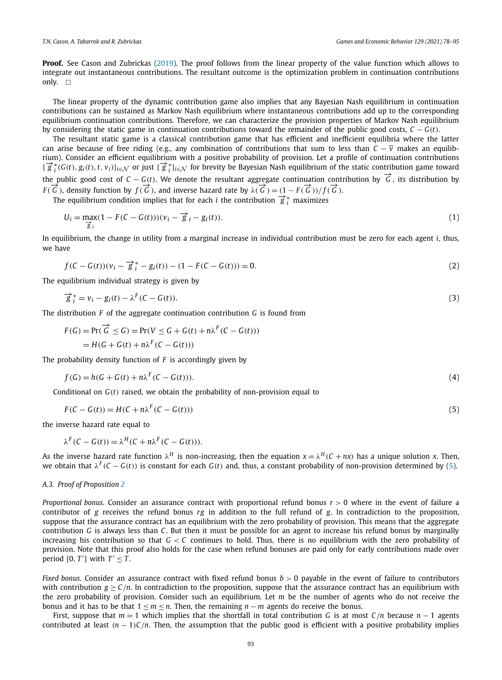**Proof.** See Cason and Zubrickas (2019). The proof follows from the linear property of the value function which allows to integrate out instantaneous contributions. The resultant outcome is the optimization problem in continuation contributions only.  $\square$ 

The linear property of the dynamic contribution game also implies that any Bayesian Nash equilibrium in continuation contributions can be sustained as Markov Nash equilibrium where instantaneous contributions add up to the corresponding equilibrium continuation contributions. Therefore, we can characterize the provision properties of Markov Nash equilibrium by considering the static game in continuation contributions toward the remainder of the public good costs,  $C - G(t)$ .

The resultant static game is a classical contribution game that has efficient and inefficient equilibria where the latter can arise because of free riding (e.g., any combination of contributions that sum to less than  $C - \overline{v}$  makes an equilibrium). Consider an efficient equilibrium with a positive probability of provision. Let a profile of continuation contributions  $\{\overrightarrow{g}_i^*(G(t), g_i(t), t, v_i)\}_{i\in\mathcal{N}}$  or just  $\{\overrightarrow{g}_i^*\}_{i\in\mathcal{N}}$  for brevity be Bayesian Nash equilibrium of the static contribution game toward the public good cost of  $C - G(t)$ . We denote the resultant aggregate continuation contribution by  $\vec{G}$ , its distribution by *F* ( $\vec{G}$ ), density function by  $f(\vec{G})$ , and inverse hazard rate by  $\lambda(\vec{G}) = (1 - F(\vec{G}))/f(\vec{G})$ .

The equilibrium condition implies that for each *i* the contribution  $\vec{g}^*$ <sub>*i*</sub> maximizes

$$
U_i = \max_{\overrightarrow{g}_i} (1 - F(C - G(t)))(v_i - \overrightarrow{g}_i - g_i(t)).
$$
\n
$$
(1)
$$

In equilibrium, the change in utility from a marginal increase in individual contribution must be zero for each agent *i*, thus, we have

$$
f(C - G(t))(v_i - \overrightarrow{g}_i^* - g_i(t)) - (1 - F(C - G(t))) = 0.
$$
\n(2)

The equilibrium individual strategy is given by

$$
\overrightarrow{g}_i^* = v_i - g_i(t) - \lambda^F (C - G(t)).
$$
\n(3)

The distribution *F* of the aggregate continuation contribution *G* is found from

$$
F(G) = \Pr(\overrightarrow{G} \le G) = \Pr(V \le G + G(t) + n\lambda^F(C - G(t)))
$$
  
= 
$$
H(G + G(t) + n\lambda^F(C - G(t)))
$$

The probability density function of *F* is accordingly given by

$$
f(G) = h(G + G(t) + n\lambda^{F}(C - G(t))).
$$
\n(4)

Conditional on *G*(*t*) raised, we obtain the probability of non-provision equal to

$$
F(C - G(t)) = H(C + n\lambda^{F}(C - G(t)))
$$
\n<sup>(5)</sup>

the inverse hazard rate equal to

$$
\lambda^{F}(C - G(t)) = \lambda^{H}(C + n\lambda^{F}(C - G(t))).
$$

As the inverse hazard rate function  $\lambda^H$  is non-increasing, then the equation  $x = \lambda^H(C + nx)$  has a unique solution x. Then, *we* obtain that  $λ<sup>F</sup>(C − G(t))$  is constant for each *G*(*t*) and, thus, a constant probability of non-provision determined by (5).

# *A.3. Proof of Proposition 2*

*Proportional bonus.* Consider an assurance contract with proportional refund bonus *r* > 0 where in the event of failure a contributor of *g* receives the refund bonus *rg* in addition to the full refund of *g*. In contradiction to the proposition, suppose that the assurance contract has an equilibrium with the zero probability of provision. This means that the aggregate contribution *G* is always less than *C*. But then it must be possible for an agent to increase his refund bonus by marginally increasing his contribution so that *G* < *C* continues to hold. Thus, there is no equilibrium with the zero probability of provision. Note that this proof also holds for the case when refund bonuses are paid only for early contributions made over period  $[0, T']$  with  $T' \leq T$ .

*Fixed bonus.* Consider an assurance contract with fixed refund bonus  $b > 0$  payable in the event of failure to contributors with contribution  $g \geq C/n$ . In contradiction to the proposition, suppose that the assurance contract has an equilibrium with the zero probability of provision. Consider such an equilibrium. Let *m* be the number of agents who do not receive the bonus and it has to be that  $1 \le m \le n$ . Then, the remaining  $n - m$  agents do receive the bonus.

First, suppose that *m* = 1 which implies that the shortfall in total contribution *G* is at most *C*/*n* because *n* − 1 agents contributed at least  $(n - 1)C/n$ . Then, the assumption that the public good is efficient with a positive probability implies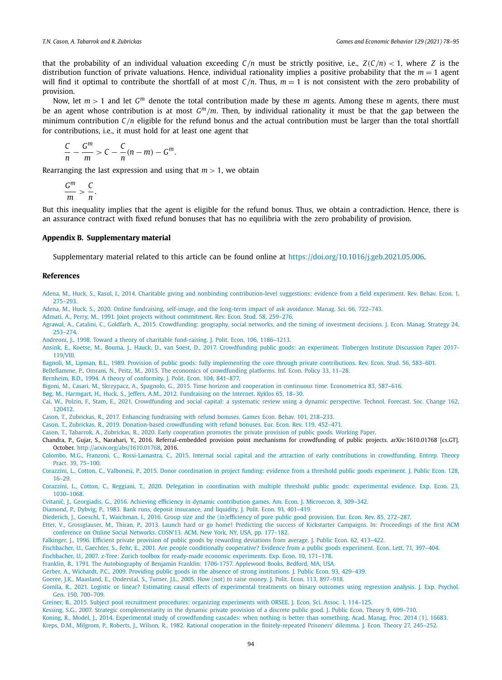that the probability of an individual valuation exceeding  $C/n$  must be strictly positive, i.e.,  $Z(C/n) < 1$ , where *Z* is the distribution function of private valuations. Hence, individual rationality implies a positive probability that the *m* = 1 agent will find it optimal to contribute the shortfall of at most  $C/n$ . Thus,  $m = 1$  is not consistent with the zero probability of provision.

Now, let  $m > 1$  and let  $G<sup>m</sup>$  denote the total contribution made by these  $m$  agents. Among these  $m$  agents, there must be an agent whose contribution is at most  $G<sup>m</sup>/m$ . Then, by individual rationality it must be that the gap between the minimum contribution *C*/*n* eligible for the refund bonus and the actual contribution must be larger than the total shortfall for contributions, i.e., it must hold for at least one agent that

$$
\frac{C}{n}-\frac{G^m}{m}>C-\frac{C}{n}(n-m)-G^m.
$$

Rearranging the last expression and using that  $m > 1$ , we obtain

$$
\frac{G^m}{m} > \frac{C}{n}.
$$

But this inequality implies that the agent is eligible for the refund bonus. Thus, we obtain a contradiction. Hence, there is an assurance contract with fixed refund bonuses that has no equilibria with the zero probability of provision.

# **Appendix B. Supplementary material**

Supplementary material related to this article can be found online at https://doi.org/10.1016/j.geb.2021.05.006.

# **References**

- Adena, M., Huck, S., Rasul, I., 2014. Charitable giving and nonbinding contribution-level suggestions: evidence from a field experiment. Rev. Behav. Econ. 1, 275–293.
- Adena, M., Huck, S., 2020. Online fundraising, self-image, and the long-term impact of ask avoidance. Manag. Sci. 66, 722–743.
- Admati, A., Perry, M., 1991. Joint projects without commitment. Rev. Econ. Stud. 58, 259–276.
- Agrawal, A., Catalini, C., Goldfarb, A., 2015. Crowdfunding: geography, social networks, and the timing of investment decisions. J. Econ. Manag. Strategy 24, 253–274.
- Andreoni, J., 1998. Toward a theory of charitable fund-raising. J. Polit. Econ. 106, 1186–1213.
- Ansink, E., Koetse, M., Bouma, J., Hauck, D., van Soest, D., 2017. Crowdfunding public goods: an experiment. Tinbergen Institute Discussion Paper 2017- 119/VIII.
- Bagnoli, M., Lipman, B.L., 1989. Provision of public goods: fully implementing the core through private contributions. Rev. Econ. Stud. 56, 583–601.

Belleflamme, P., Omrani, N., Peitz, M., 2015. The economics of crowdfunding platforms. Inf. Econ. Policy 33, 11–28.

Bernheim, B.D., 1994. A theory of conformity. J. Polit. Econ. 104, 841–877.

Bigoni, M., Casari, M., Skrzypacz, A., Spagnolo, G., 2015. Time horizon and cooperation in continuous time. Econometrica 83, 587–616.

- Bøg, M., Harmgart, H., Huck, S., Jeffers, A.M., 2012. Fundraising on the Internet. Kyklos 65, 18–30.
- Cai, W., Polzin, F., Stam, E., 2021. Crowdfunding and social capital: a systematic review using a dynamic perspective. Technol. Forecast. Soc. Change 162, 120412.
- Cason, T., Zubrickas, R., 2017. Enhancing fundraising with refund bonuses. Games Econ. Behav. 101, 218–233.
- Cason, T., Zubrickas, R., 2019. Donation-based crowdfunding with refund bonuses. Eur. Econ. Rev. 119, 452–471.
- Cason, T., Tabarrok, A., Zubrickas, R., 2020. Early cooperation promotes the private provision of public goods. Working Paper.
- Chandra, P., Gujar, S., Narahari, Y., 2016. Referral-embedded provision point mechanisms for crowdfunding of public projects. arXiv:1610.01768 [cs.GT]. October. http://arxiv.org/abs/1610.01768, 2016.
- Colombo, M.G., Franzoni, C., Rossi-Lamastra, C., 2015. Internal social capital and the attraction of early contributions in crowdfunding. Entrep. Theory Pract. 39, 75–100.
- Corazzini, L., Cotton, C., Valbonesi, P., 2015. Donor coordination in project funding: evidence from a threshold public goods experiment. J. Public Econ. 128, 16–29.
- Corazzini, L., Cotton, C., Reggiani, T., 2020. Delegation in coordination with multiple threshold public goods: experimental evidence. Exp. Econ. 23, 1030–1068.
- Cvitanić, J., Georgiadis, G., 2016. Achieving efficiency in dynamic contribution games. Am. Econ. J. Microecon. 8, 309-342.
- Diamond, P., Dybvig, P., 1983. Bank runs, deposit insurance, and liquidity. J. Polit. Econ. 91, 401–419.
- Diederich, J., Goeschl, T., Waichman, I., 2016. Group size and the (in)efficiency of pure public good provision. Eur. Econ. Rev. 85, 272–287.
- Etter, V., Grossglauser, M., Thiran, P., 2013. Launch hard or go home! Predicting the success of Kickstarter Campaigns. In: Proceedings of the first ACM conference on Online Social Networks. COSN'13. ACM, New York, NY, USA, pp. 177–182.
- Falkinger, J., 1996. Efficient private provision of public goods by rewarding deviations from average. J. Public Econ. 62, 413–422.
- Fischbacher, U., Gaechter, S., Fehr, E., 2001. Are people conditionally cooperative? Evidence from a public goods experiment. Econ. Lett. 71, 397–404.
- Fischbacher, U., 2007. z-Tree: Zurich toolbox for ready-made economic experiments. Exp. Econ. 10, 171–178.
- Franklin, B., 1791. The Autobiography of Benjamin Franklin: 1706-1757. Applewood Books, Bedford, MA, USA.
- Gerber, A., Wichardt, P.C., 2009. Providing public goods in the absence of strong institutions. J. Public Econ. 93, 429–439.
- Goeree, J.K., Maasland, E., Onderstal, S., Turner, J.L., 2005. How (not) to raise money. J. Polit. Econ. 113, 897–918.
- Gomila, R., 2021. Logistic or linear? Estimating causal effects of experimental treatments on binary outcomes using regression analysis. J. Exp. Psychol. Gen. 150, 700–709.
- Greiner, B., 2015. Subject pool recruitment procedures: organizing experiments with ORSEE. J. Econ. Sci. Assoc. 1, 114–125.
- Kessing, S.G., 2007. Strategic complementarity in the dynamic private provision of a discrete public good. J. Public Econ. Theory 9, 699–710.
- Koning, R., Model, J., 2014. Experimental study of crowdfunding cascades: when nothing is better than something. Acad. Manag. Proc. 2014 (1), 16683. Kreps, D.M., Milgrom, P., Roberts, J., Wilson, R., 1982. Rational cooperation in the finitely-repeated Prisoners' dilemma. J. Econ. Theory 27, 245–252.